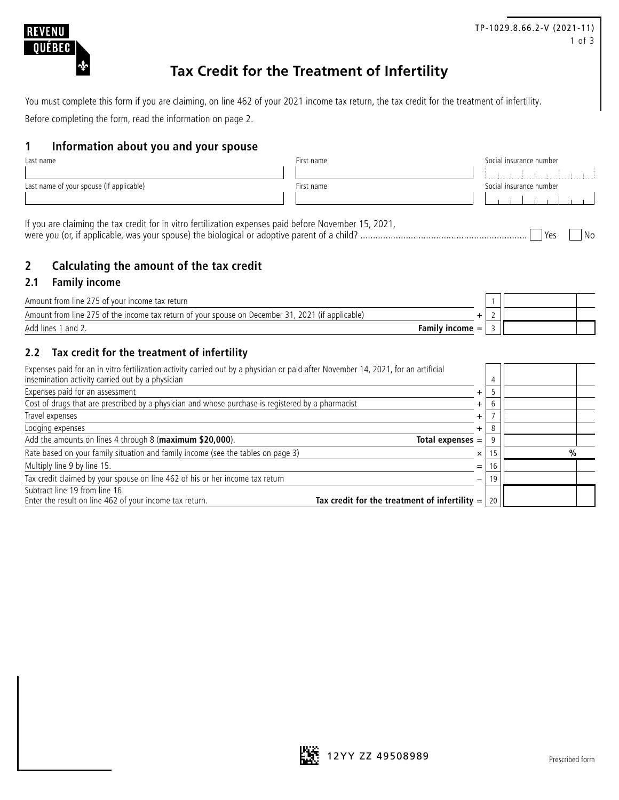

# **Tax Credit for the Treatment of Infertility**

You must complete this form if you are claiming, on line 462 of your 2021 income tax return, the tax credit for the treatment of infertility. Before completing the form, read the information on page 2.

### **1 Information about you and your spouse**

| Last name                                | First name | Social insurance number |  |
|------------------------------------------|------------|-------------------------|--|
|                                          |            | and the contract        |  |
| Last name of your spouse (if applicable) | First name | Social insurance number |  |
|                                          |            |                         |  |
|                                          |            |                         |  |

If you are claiming the tax credit for in vitro fertilization expenses paid before November 15, 2021, were you (or, if applicable, was your spouse) the biological or adoptive parent of a child? .................................................................. Yes No

# **2 Calculating the amount of the tax credit**

#### **2.1 Family income**

| Family income $=$ |  |  |
|-------------------|--|--|

# **2.2 Tax credit for the treatment of infertility**

| Expenses paid for an in vitro fertilization activity carried out by a physician or paid after November 14, 2021, for an artificial<br>insemination activity carried out by a physician |                                                 |               |
|----------------------------------------------------------------------------------------------------------------------------------------------------------------------------------------|-------------------------------------------------|---------------|
| Expenses paid for an assessment                                                                                                                                                        |                                                 |               |
| Cost of drugs that are prescribed by a physician and whose purchase is registered by a pharmacist                                                                                      | $\div$                                          |               |
| Travel expenses                                                                                                                                                                        | $\div$                                          |               |
| Lodging expenses                                                                                                                                                                       | $\ddot{}$                                       |               |
| Add the amounts on lines 4 through 8 (maximum \$20,000).                                                                                                                               | Total expenses $=$                              |               |
| Rate based on your family situation and family income (see the tables on page 3)                                                                                                       | ×                                               | $\frac{0}{0}$ |
| Multiply line 9 by line 15.                                                                                                                                                            | $=$                                             |               |
| Tax credit claimed by your spouse on line 462 of his or her income tax return                                                                                                          | -                                               |               |
| Subtract line 19 from line 16.                                                                                                                                                         |                                                 |               |
| Enter the result on line 462 of your income tax return.                                                                                                                                | Tax credit for the treatment of infertility $=$ |               |



TP-1029.8.66.2-V (2021-11) 1 of 3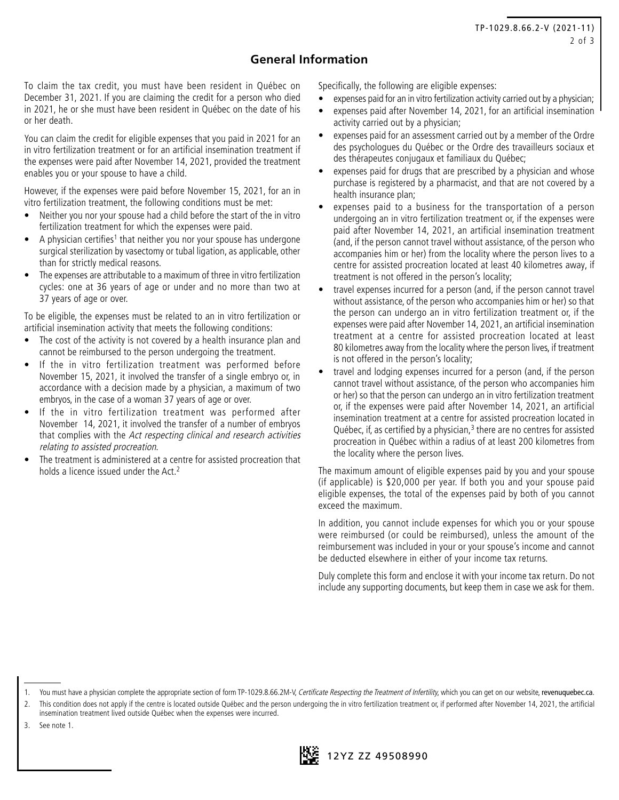# **General Information**

To claim the tax credit, you must have been resident in Québec on December 31, 2021. If you are claiming the credit for a person who died in 2021, he or she must have been resident in Québec on the date of his or her death.

You can claim the credit for eligible expenses that you paid in 2021 for an in vitro fertilization treatment or for an artificial insemination treatment if the expenses were paid after November 14, 2021, provided the treatment enables you or your spouse to have a child.

However, if the expenses were paid before November 15, 2021, for an in vitro fertilization treatment, the following conditions must be met:

- Neither you nor your spouse had a child before the start of the in vitro fertilization treatment for which the expenses were paid.
- A physician certifies<sup>1</sup> that neither you nor your spouse has undergone surgical sterilization by vasectomy or tubal ligation, as applicable, other than for strictly medical reasons.
- The expenses are attributable to a maximum of three in vitro fertilization cycles: one at 36 years of age or under and no more than two at 37 years of age or over.

To be eligible, the expenses must be related to an in vitro fertilization or artificial insemination activity that meets the following conditions:

- The cost of the activity is not covered by a health insurance plan and cannot be reimbursed to the person undergoing the treatment.
- If the in vitro fertilization treatment was performed before November 15, 2021, it involved the transfer of a single embryo or, in accordance with a decision made by a physician, a maximum of two embryos, in the case of a woman 37 years of age or over.
- If the in vitro fertilization treatment was performed after November 14, 2021, it involved the transfer of a number of embryos that complies with the Act respecting clinical and research activities relating to assisted procreation.
- The treatment is administered at a centre for assisted procreation that holds a licence issued under the Act.<sup>2</sup>

Specifically, the following are eligible expenses:

- expenses paid for an in vitro fertilization activity carried out by a physician;
- expenses paid after November 14, 2021, for an artificial insemination activity carried out by a physician;
- expenses paid for an assessment carried out by a member of the Ordre des psychologues du Québec or the Ordre des travailleurs sociaux et des thérapeutes conjugaux et familiaux du Québec;
- expenses paid for drugs that are prescribed by a physician and whose purchase is registered by a pharmacist, and that are not covered by a health insurance plan;
- expenses paid to a business for the transportation of a person undergoing an in vitro fertilization treatment or, if the expenses were paid after November 14, 2021, an artificial insemination treatment (and, if the person cannot travel without assistance, of the person who accompanies him or her) from the locality where the person lives to a centre for assisted procreation located at least 40 kilometres away, if treatment is not offered in the person's locality;
- travel expenses incurred for a person (and, if the person cannot travel without assistance, of the person who accompanies him or her) so that the person can undergo an in vitro fertilization treatment or, if the expenses were paid after November 14, 2021, an artificial insemination treatment at a centre for assisted procreation located at least 80 kilometres away from the locality where the person lives, if treatment is not offered in the person's locality;
- travel and lodging expenses incurred for a person (and, if the person cannot travel without assistance, of the person who accompanies him or her) so that the person can undergo an in vitro fertilization treatment or, if the expenses were paid after November 14, 2021, an artificial insemination treatment at a centre for assisted procreation located in Québec, if, as certified by a physician, $3$  there are no centres for assisted procreation in Québec within a radius of at least 200 kilometres from the locality where the person lives.

The maximum amount of eligible expenses paid by you and your spouse (if applicable) is \$20,000 per year. If both you and your spouse paid eligible expenses, the total of the expenses paid by both of you cannot exceed the maximum.

In addition, you cannot include expenses for which you or your spouse were reimbursed (or could be reimbursed), unless the amount of the reimbursement was included in your or your spouse's income and cannot be deducted elsewhere in either of your income tax returns.

Duly complete this form and enclose it with your income tax return. Do not include any supporting documents, but keep them in case we ask for them.

3. See note 1.



<sup>1.</sup> You must have a physician complete the appropriate section of form TP-1029.8.66.2M-V, Certificate Respecting the Treatment of Infertility, which you can get on our website, [revenuquebec.ca](https://www.revenuquebec.ca/en).

This condition does not apply if the centre is located outside Québec and the person undergoing the in vitro fertilization treatment or, if performed after November 14, 2021, the artificial insemination treatment lived outside Québec when the expenses were incurred.